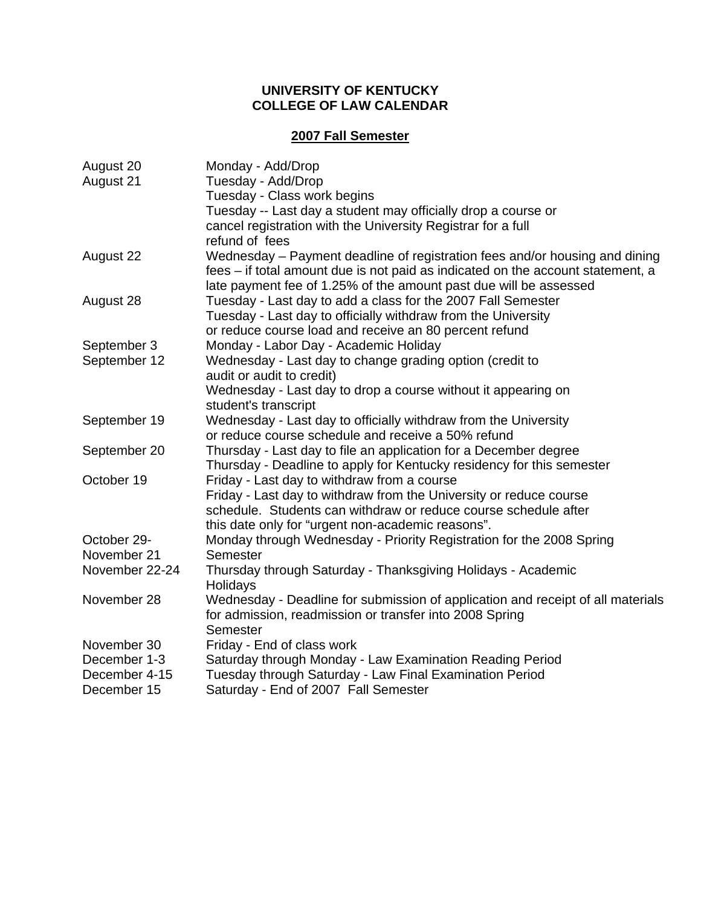#### **UNIVERSITY OF KENTUCKY COLLEGE OF LAW CALENDAR**

#### **2007 Fall Semester**

| August 20      | Monday - Add/Drop                                                               |
|----------------|---------------------------------------------------------------------------------|
| August 21      | Tuesday - Add/Drop                                                              |
|                | Tuesday - Class work begins                                                     |
|                | Tuesday -- Last day a student may officially drop a course or                   |
|                | cancel registration with the University Registrar for a full                    |
|                | refund of fees                                                                  |
| August 22      | Wednesday – Payment deadline of registration fees and/or housing and dining     |
|                | fees – if total amount due is not paid as indicated on the account statement, a |
|                | late payment fee of 1.25% of the amount past due will be assessed               |
| August 28      | Tuesday - Last day to add a class for the 2007 Fall Semester                    |
|                | Tuesday - Last day to officially withdraw from the University                   |
|                | or reduce course load and receive an 80 percent refund                          |
| September 3    | Monday - Labor Day - Academic Holiday                                           |
| September 12   | Wednesday - Last day to change grading option (credit to                        |
|                | audit or audit to credit)                                                       |
|                | Wednesday - Last day to drop a course without it appearing on                   |
|                | student's transcript                                                            |
| September 19   | Wednesday - Last day to officially withdraw from the University                 |
|                | or reduce course schedule and receive a 50% refund                              |
| September 20   | Thursday - Last day to file an application for a December degree                |
|                | Thursday - Deadline to apply for Kentucky residency for this semester           |
| October 19     | Friday - Last day to withdraw from a course                                     |
|                | Friday - Last day to withdraw from the University or reduce course              |
|                | schedule. Students can withdraw or reduce course schedule after                 |
|                | this date only for "urgent non-academic reasons".                               |
| October 29-    | Monday through Wednesday - Priority Registration for the 2008 Spring            |
| November 21    | Semester                                                                        |
| November 22-24 | Thursday through Saturday - Thanksgiving Holidays - Academic                    |
|                | Holidays                                                                        |
| November 28    | Wednesday - Deadline for submission of application and receipt of all materials |
|                | for admission, readmission or transfer into 2008 Spring                         |
|                | Semester                                                                        |
| November 30    | Friday - End of class work                                                      |
| December 1-3   | Saturday through Monday - Law Examination Reading Period                        |
| December 4-15  | Tuesday through Saturday - Law Final Examination Period                         |
| December 15    | Saturday - End of 2007 Fall Semester                                            |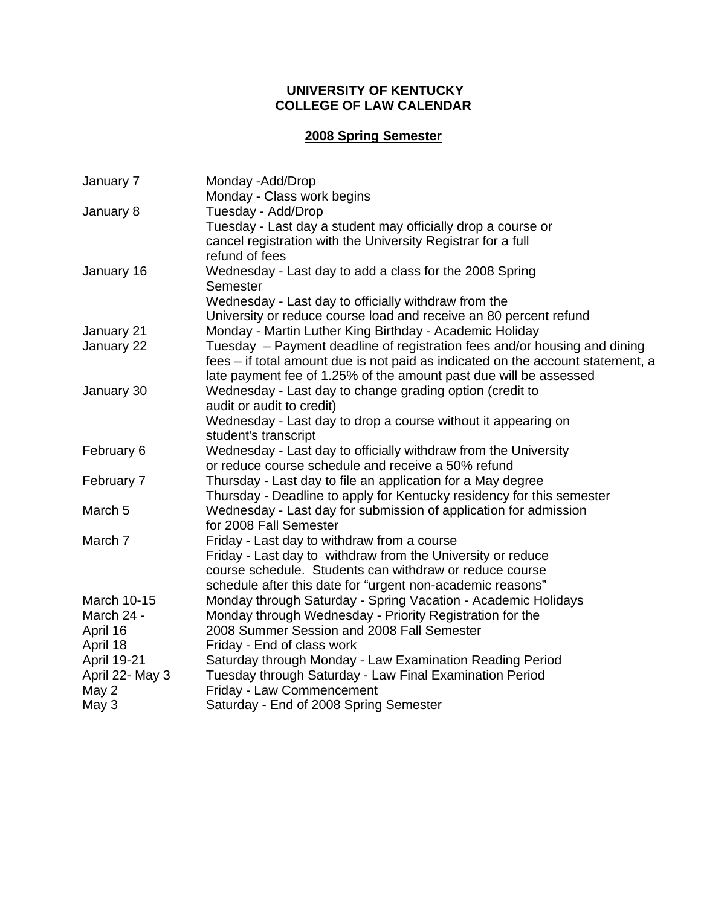#### **UNIVERSITY OF KENTUCKY COLLEGE OF LAW CALENDAR**

# **2008 Spring Semester**

| January 7          | Monday -Add/Drop                                                                                                                                     |
|--------------------|------------------------------------------------------------------------------------------------------------------------------------------------------|
|                    | Monday - Class work begins                                                                                                                           |
| January 8          | Tuesday - Add/Drop                                                                                                                                   |
|                    | Tuesday - Last day a student may officially drop a course or                                                                                         |
|                    | cancel registration with the University Registrar for a full                                                                                         |
|                    | refund of fees                                                                                                                                       |
| January 16         | Wednesday - Last day to add a class for the 2008 Spring<br>Semester                                                                                  |
|                    | Wednesday - Last day to officially withdraw from the                                                                                                 |
|                    | University or reduce course load and receive an 80 percent refund                                                                                    |
|                    |                                                                                                                                                      |
| January 21         | Monday - Martin Luther King Birthday - Academic Holiday                                                                                              |
| January 22         | Tuesday – Payment deadline of registration fees and/or housing and dining                                                                            |
|                    | fees – if total amount due is not paid as indicated on the account statement, a<br>late payment fee of 1.25% of the amount past due will be assessed |
|                    |                                                                                                                                                      |
| January 30         | Wednesday - Last day to change grading option (credit to<br>audit or audit to credit)                                                                |
|                    | Wednesday - Last day to drop a course without it appearing on                                                                                        |
|                    | student's transcript                                                                                                                                 |
| February 6         | Wednesday - Last day to officially withdraw from the University                                                                                      |
|                    | or reduce course schedule and receive a 50% refund                                                                                                   |
| February 7         | Thursday - Last day to file an application for a May degree                                                                                          |
|                    | Thursday - Deadline to apply for Kentucky residency for this semester                                                                                |
| March <sub>5</sub> | Wednesday - Last day for submission of application for admission                                                                                     |
|                    | for 2008 Fall Semester                                                                                                                               |
| March 7            | Friday - Last day to withdraw from a course                                                                                                          |
|                    | Friday - Last day to withdraw from the University or reduce                                                                                          |
|                    | course schedule. Students can withdraw or reduce course                                                                                              |
|                    | schedule after this date for "urgent non-academic reasons"                                                                                           |
| March 10-15        | Monday through Saturday - Spring Vacation - Academic Holidays                                                                                        |
| March 24 -         | Monday through Wednesday - Priority Registration for the                                                                                             |
| April 16           | 2008 Summer Session and 2008 Fall Semester                                                                                                           |
| April 18           | Friday - End of class work                                                                                                                           |
| April 19-21        | Saturday through Monday - Law Examination Reading Period                                                                                             |
| April 22- May 3    | Tuesday through Saturday - Law Final Examination Period                                                                                              |
| May 2              | Friday - Law Commencement                                                                                                                            |
| May 3              | Saturday - End of 2008 Spring Semester                                                                                                               |
|                    |                                                                                                                                                      |